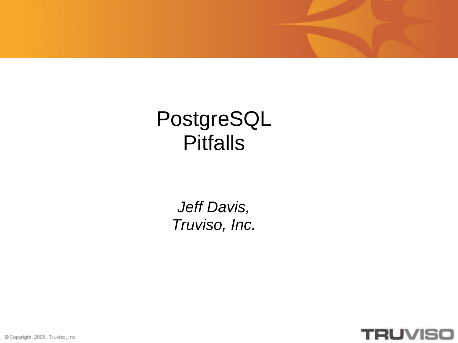#### PostgreSQL Pitfalls

*Jeff Davis, Truviso, Inc.*



© Copyright, 2008. Truviso, Inc.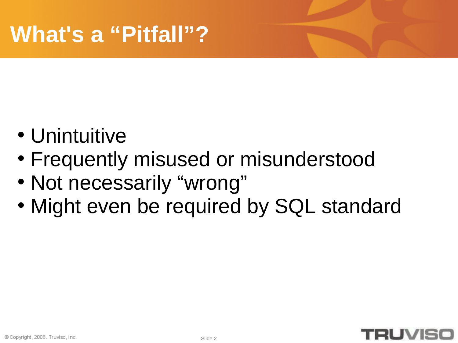- Unintuitive
- Frequently misused or misunderstood
- Not necessarily "wrong"
- Might even be required by SQL standard

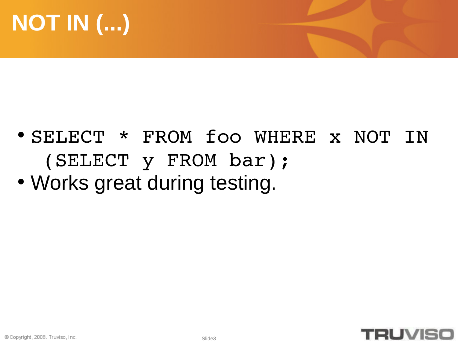# **NOT IN (...)**

- SELECT \* FROM foo WHERE x NOT IN (SELECT y FROM bar);
- Works great during testing.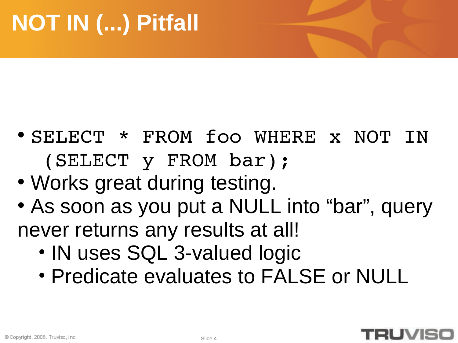- SELECT \* FROM foo WHERE x NOT IN (SELECT y FROM bar);
- Works great during testing.
- As soon as you put a NULL into "bar", query never returns any results at all!
	- IN uses SQL 3-valued logic
	- Predicate evaluates to FALSE or NULL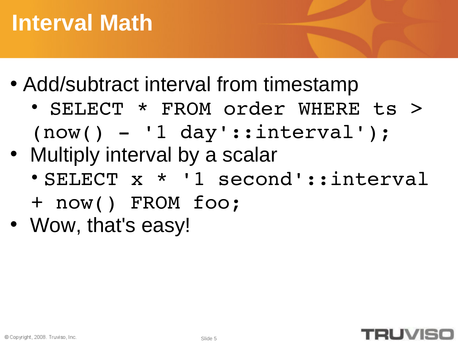# **Interval Math**

- Add/subtract interval from timestamp
	- SELECT \* FROM order WHERE ts >  $(now() - '1 day'::interval')$ ;
- Multiply interval by a scalar
	- SELECT x \* '1 second'::interval
	- + now() FROM foo;
- Wow, that's easy!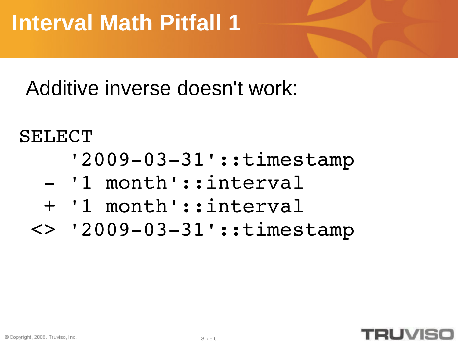Additive inverse doesn't work:

#### SELECT

- '2009-03-31'::timestamp
- '1 month'::interval
- + '1 month'::interval
- <> '2009-03-31'::timestamp

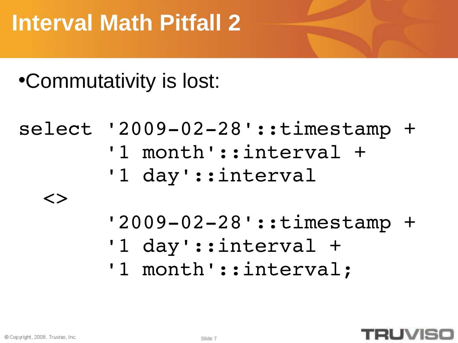# **Interval Math Pitfall 2**

#### •Commutativity is lost:

```
select '2009-02-28'::timestamp +
                '1 month'::interval +
                '1 day'::interval 
    <> 
         '2009-02-28'::timestamp +
                '1 day'::interval + 
         '1 month'::interval;
```
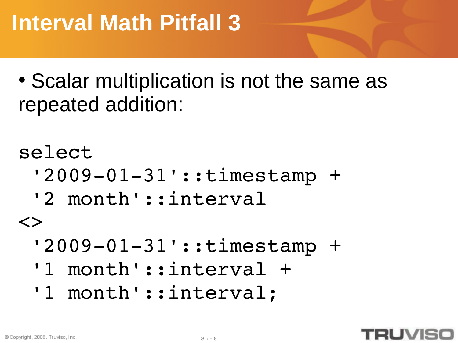# **Interval Math Pitfall 3**

• Scalar multiplication is not the same as repeated addition:

```
select 
 '2009-01-31'::timestamp +
  '2 month'::interval 
\langle \rangle'2009-01-31'::timestamp +
  '1 month'::interval + 
 '1 month'::interval;
```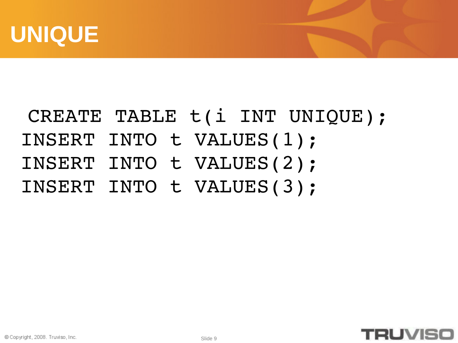

#### CREATE TABLE t(i INT UNIQUE); INSERT INTO t VALUES(1); INSERT INTO t VALUES(2); INSERT INTO t VALUES(3);

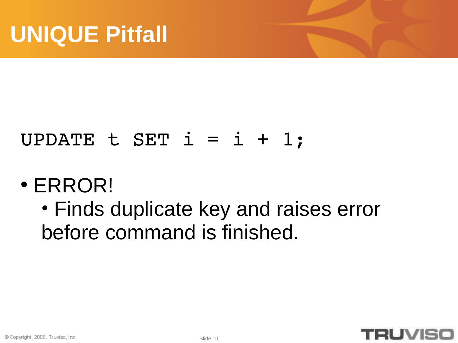#### UPDATE  $t$  SET  $i = i + 1$ ;

#### • ERROR!

• Finds duplicate key and raises error before command is finished.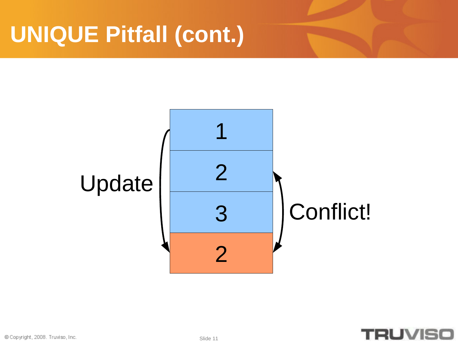# **UNIQUE Pitfall (cont.)**



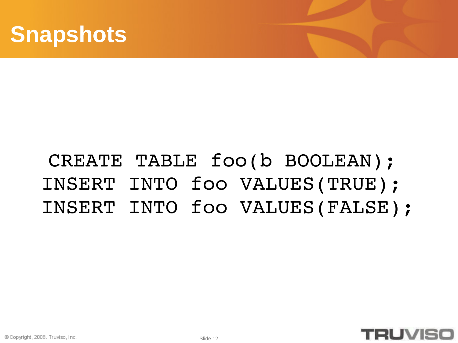

#### © Copyright, 2008. Truviso, Inc.

**Snapshots**

#### CREATE TABLE foo(b BOOLEAN); INSERT INTO foo VALUES(TRUE); INSERT INTO foo VALUES(FALSE);

Slide 12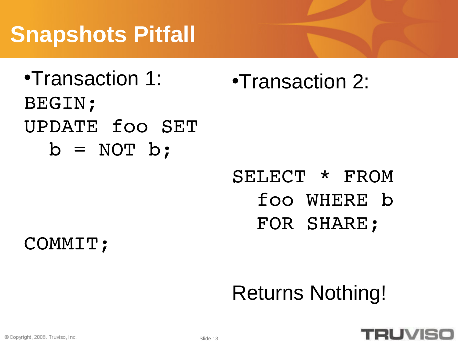# **Snapshots Pitfall**

•Transaction 1: BEGIN; UPDATE foo SET  $b = NOT b;$ 

•Transaction 2:

#### SELECT \* FROM foo WHERE b FOR SHARE;

COMMIT;

# Returns Nothing!

#### **RUVIS**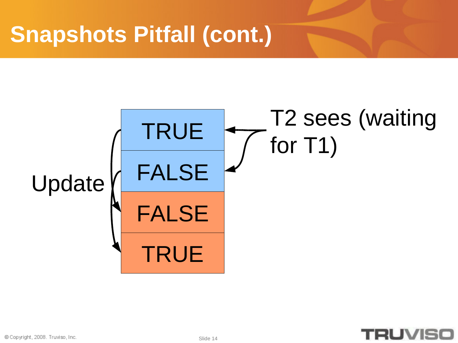#### TRUE FALSE TRUE FALSE Update T2 sees (waiting for T1)

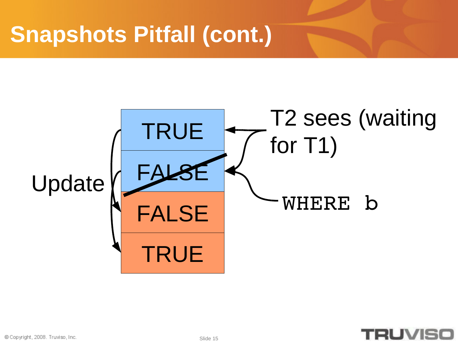



© Copyright, 2008. Truviso, Inc.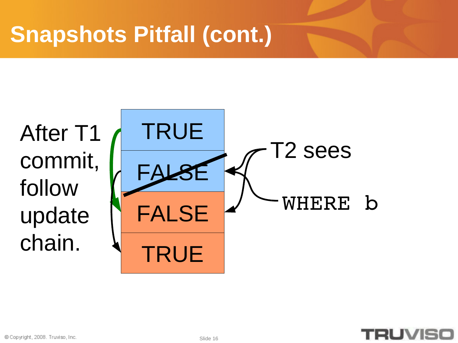After T1 commit, follow update chain.



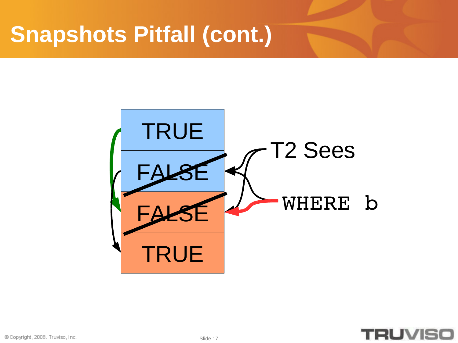

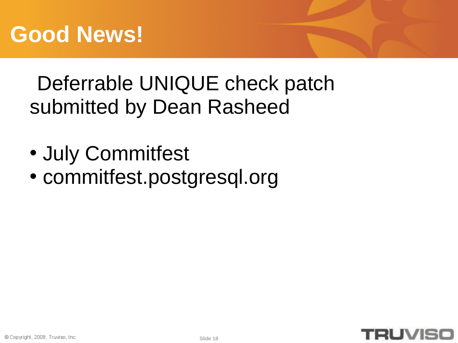#### Deferrable UNIQUE check patch submitted by Dean Rasheed

- July Commitfest
- commitfest.postgresql.org

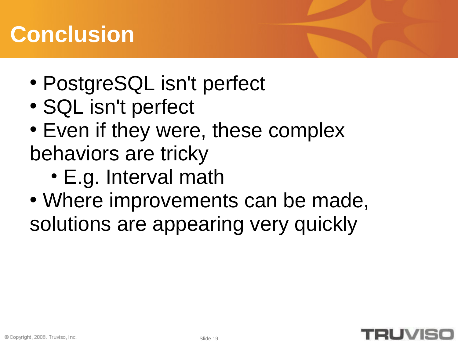# **Conclusion**

- PostgreSQL isn't perfect
- SQL isn't perfect
- Even if they were, these complex behaviors are tricky
	- E.g. Interval math
- Where improvements can be made, solutions are appearing very quickly